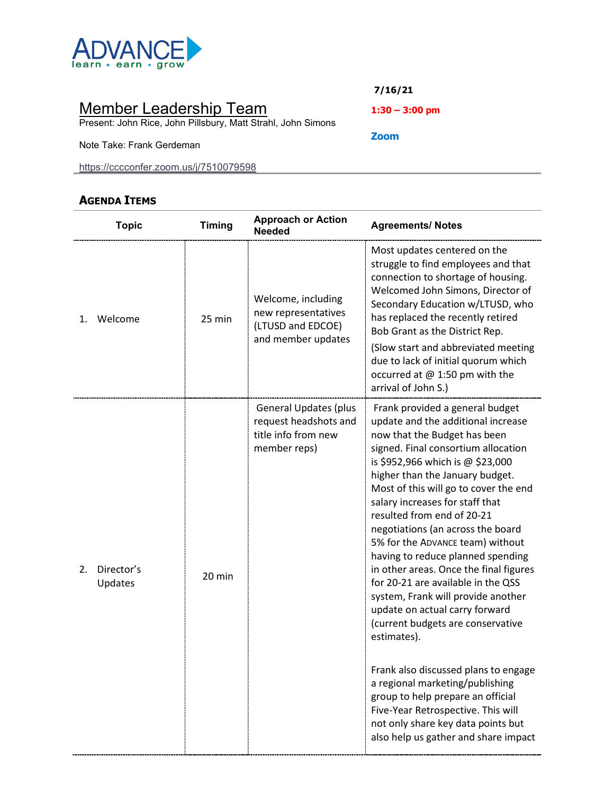

# Member Leadership Team

Present: John Rice, John Pillsbury, Matt Strahl, John Simons

Note Take: Frank Gerdeman

<https://cccconfer.zoom.us/j/7510079598>

## **AGENDA ITEMS**

**7/16/21**

**1:30 – 3:00 pm**

**Zoom**

| <b>Topic</b>                | <b>Timing</b> | <b>Approach or Action</b><br><b>Needed</b>                                                   | <b>Agreements/ Notes</b>                                                                                                                                                                                                                                                                                                                                                                                                                                                                                                                                                                                                                                                                                                                                                                                                                                                                    |
|-----------------------------|---------------|----------------------------------------------------------------------------------------------|---------------------------------------------------------------------------------------------------------------------------------------------------------------------------------------------------------------------------------------------------------------------------------------------------------------------------------------------------------------------------------------------------------------------------------------------------------------------------------------------------------------------------------------------------------------------------------------------------------------------------------------------------------------------------------------------------------------------------------------------------------------------------------------------------------------------------------------------------------------------------------------------|
| Welcome<br>1.               | 25 min        | Welcome, including<br>new representatives<br>(LTUSD and EDCOE)<br>and member updates         | Most updates centered on the<br>struggle to find employees and that<br>connection to shortage of housing.<br>Welcomed John Simons, Director of<br>Secondary Education w/LTUSD, who<br>has replaced the recently retired<br>Bob Grant as the District Rep.<br>(Slow start and abbreviated meeting                                                                                                                                                                                                                                                                                                                                                                                                                                                                                                                                                                                            |
|                             |               |                                                                                              | due to lack of initial quorum which<br>occurred at @ 1:50 pm with the<br>arrival of John S.)                                                                                                                                                                                                                                                                                                                                                                                                                                                                                                                                                                                                                                                                                                                                                                                                |
| Director's<br>2.<br>Updates | 20 min        | <b>General Updates (plus</b><br>request headshots and<br>title info from new<br>member reps) | Frank provided a general budget<br>update and the additional increase<br>now that the Budget has been<br>signed. Final consortium allocation<br>is \$952,966 which is @ \$23,000<br>higher than the January budget.<br>Most of this will go to cover the end<br>salary increases for staff that<br>resulted from end of 20-21<br>negotiations (an across the board<br>5% for the ADVANCE team) without<br>having to reduce planned spending<br>in other areas. Once the final figures<br>for 20-21 are available in the QSS<br>system, Frank will provide another<br>update on actual carry forward<br>(current budgets are conservative<br>estimates).<br>Frank also discussed plans to engage<br>a regional marketing/publishing<br>group to help prepare an official<br>Five-Year Retrospective. This will<br>not only share key data points but<br>also help us gather and share impact |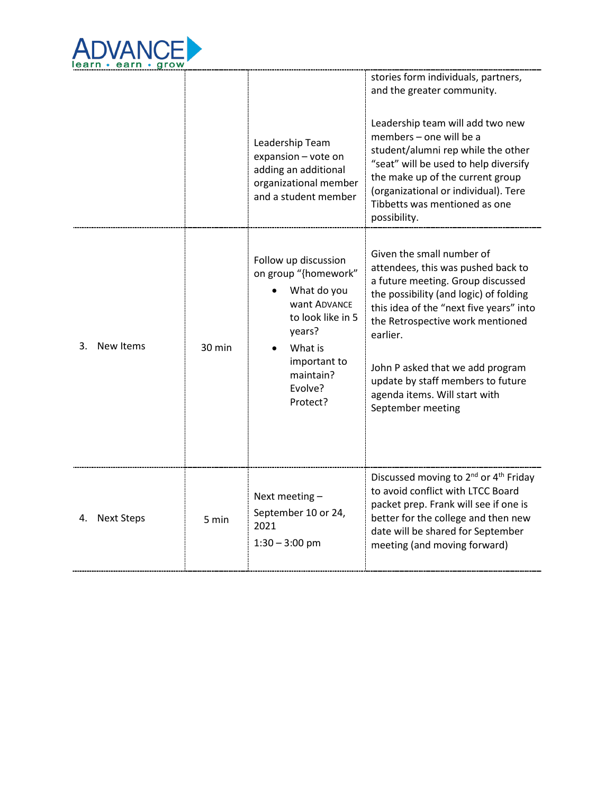

|                         |        | Leadership Team<br>expansion - vote on<br>adding an additional<br>organizational member<br>and a student member                                                           | stories form individuals, partners,<br>and the greater community.<br>Leadership team will add two new<br>members - one will be a<br>student/alumni rep while the other<br>"seat" will be used to help diversify<br>the make up of the current group<br>(organizational or individual). Tere<br>Tibbetts was mentioned as one<br>possibility.                             |
|-------------------------|--------|---------------------------------------------------------------------------------------------------------------------------------------------------------------------------|--------------------------------------------------------------------------------------------------------------------------------------------------------------------------------------------------------------------------------------------------------------------------------------------------------------------------------------------------------------------------|
| New Items<br>3.         | 30 min | Follow up discussion<br>on group "{homework"<br>What do you<br>want ADVANCE<br>to look like in 5<br>years?<br>What is<br>important to<br>maintain?<br>Evolve?<br>Protect? | Given the small number of<br>attendees, this was pushed back to<br>a future meeting. Group discussed<br>the possibility (and logic) of folding<br>this idea of the "next five years" into<br>the Retrospective work mentioned<br>earlier.<br>John P asked that we add program<br>update by staff members to future<br>agenda items. Will start with<br>September meeting |
| <b>Next Steps</b><br>4. | 5 min  | Next meeting -<br>September 10 or 24,<br>2021<br>$1:30 - 3:00$ pm                                                                                                         | Discussed moving to 2 <sup>nd</sup> or 4 <sup>th</sup> Friday<br>to avoid conflict with LTCC Board<br>packet prep. Frank will see if one is<br>better for the college and then new<br>date will be shared for September<br>meeting (and moving forward)                                                                                                                  |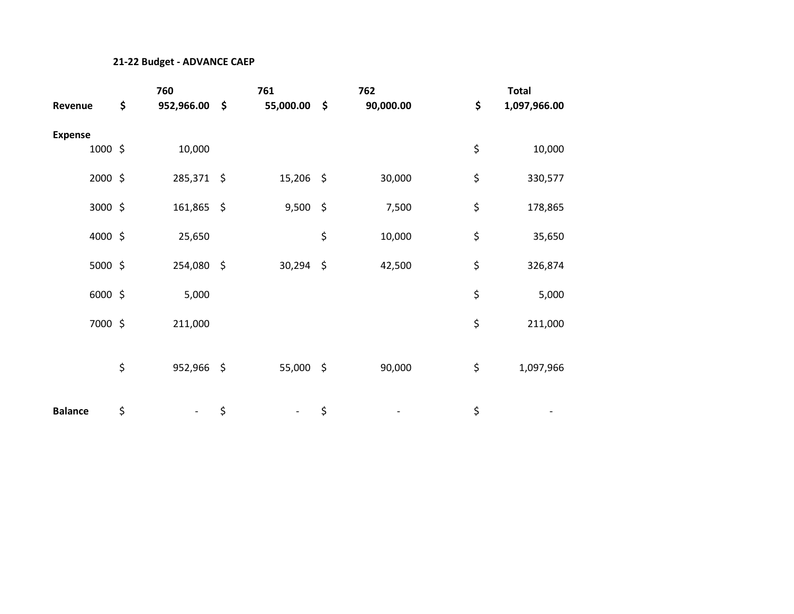#### **21-22 Budget - ADVANCE CAEP**

|                | 760              | 761             |                    | 762       | <b>Total</b>       |
|----------------|------------------|-----------------|--------------------|-----------|--------------------|
| Revenue        | \$<br>952,966.00 | \$<br>55,000.00 | \$                 | 90,000.00 | \$<br>1,097,966.00 |
| <b>Expense</b> |                  |                 |                    |           |                    |
| 1000 \$        | 10,000           |                 |                    |           | \$<br>10,000       |
| 2000 \$        | 285,371 \$       | 15,206          | $\ddot{\varsigma}$ | 30,000    | \$<br>330,577      |
| 3000 \$        | 161,865 \$       | 9,500           | $\zeta$            | 7,500     | \$<br>178,865      |
| 4000 \$        | 25,650           |                 | \$                 | 10,000    | \$<br>35,650       |
| 5000 \$        | 254,080 \$       | 30,294          | $\ddot{\varsigma}$ | 42,500    | \$<br>326,874      |
| 6000 \$        | 5,000            |                 |                    |           | \$<br>5,000        |
| 7000 \$        | 211,000          |                 |                    |           | \$<br>211,000      |
|                | \$<br>952,966 \$ | 55,000 \$       |                    | 90,000    | \$<br>1,097,966    |
| <b>Balance</b> | \$               | \$              | \$                 |           | \$                 |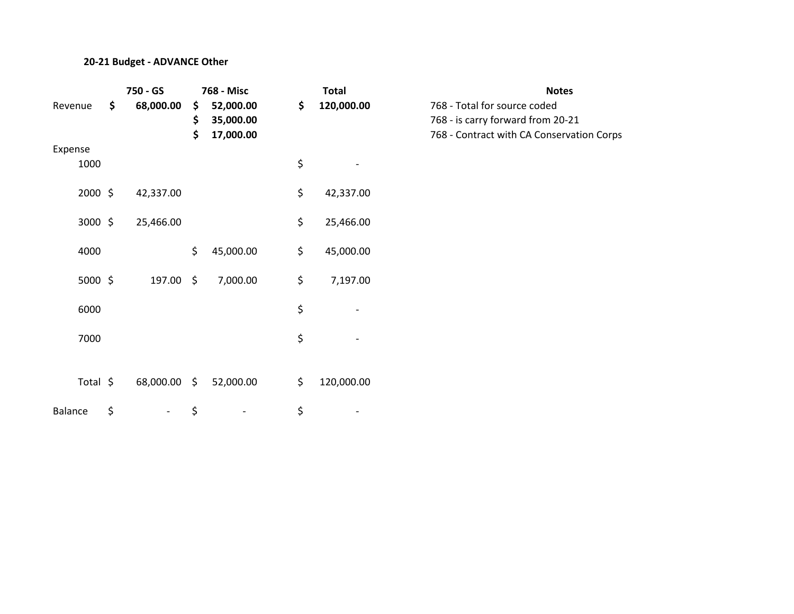#### **20-21 Budget - ADVANCE Other**

|                 | 750 - GS                       |                | 768 - Misc                          | <b>Total</b>     | <b>Notes</b>                                                                                        |
|-----------------|--------------------------------|----------------|-------------------------------------|------------------|-----------------------------------------------------------------------------------------------------|
| Revenue         | \$<br>68,000.00                | \$<br>\$<br>\$ | 52,000.00<br>35,000.00<br>17,000.00 | \$<br>120,000.00 | 768 - Total for source coded<br>768 - is carry forward from 20-2<br>768 - Contract with CA Conserva |
| Expense<br>1000 |                                |                |                                     | \$               |                                                                                                     |
| 2000 \$         | 42,337.00                      |                |                                     | \$<br>42,337.00  |                                                                                                     |
| 3000 \$         | 25,466.00                      |                |                                     | \$<br>25,466.00  |                                                                                                     |
| 4000            |                                | \$             | 45,000.00                           | \$<br>45,000.00  |                                                                                                     |
| 5000 \$         | 197.00 \$                      |                | 7,000.00                            | \$<br>7,197.00   |                                                                                                     |
| 6000            |                                |                |                                     | \$               |                                                                                                     |
| 7000            |                                |                |                                     | \$               |                                                                                                     |
| Total \$        | 68,000.00 \$                   |                | 52,000.00                           | \$<br>120,000.00 |                                                                                                     |
| <b>Balance</b>  | \$<br>$\overline{\phantom{a}}$ | \$             |                                     | \$               |                                                                                                     |

Revenue **\$ 68,000.00 \$ 52,000.00 \$ 120,000.00** 768 - Total for source coded **\$ 35,000.00** 768 - is carry forward from 20-21 768 - Contract with CA Conservation Corps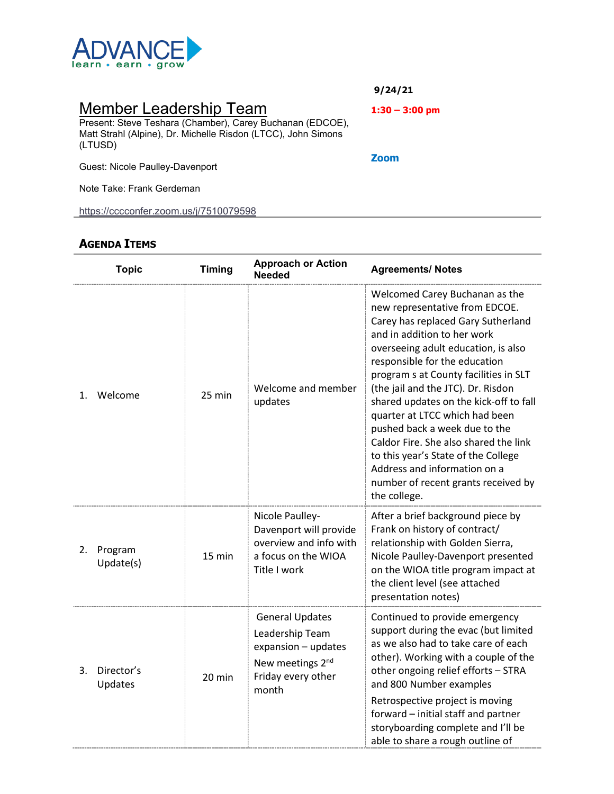

## Member Leadership Team

Present: Steve Teshara (Chamber), Carey Buchanan (EDCOE), Matt Strahl (Alpine), Dr. Michelle Risdon (LTCC), John Simons (LTUSD)

Guest: Nicole Paulley-Davenport

Note Take: Frank Gerdeman

<https://cccconfer.zoom.us/j/7510079598>

### **AGENDA ITEMS**

|    | <b>Topic</b>          | <b>Timing</b> | <b>Approach or Action</b><br><b>Needed</b>                                                                                      | <b>Agreements/ Notes</b>                                                                                                                                                                                                                                                                                                                                                                                                                                                                                                                                                         |
|----|-----------------------|---------------|---------------------------------------------------------------------------------------------------------------------------------|----------------------------------------------------------------------------------------------------------------------------------------------------------------------------------------------------------------------------------------------------------------------------------------------------------------------------------------------------------------------------------------------------------------------------------------------------------------------------------------------------------------------------------------------------------------------------------|
| 1. | Welcome               | 25 min        | Welcome and member<br>updates                                                                                                   | Welcomed Carey Buchanan as the<br>new representative from EDCOE.<br>Carey has replaced Gary Sutherland<br>and in addition to her work<br>overseeing adult education, is also<br>responsible for the education<br>program s at County facilities in SLT<br>(the jail and the JTC). Dr. Risdon<br>shared updates on the kick-off to fall<br>quarter at LTCC which had been<br>pushed back a week due to the<br>Caldor Fire. She also shared the link<br>to this year's State of the College<br>Address and information on a<br>number of recent grants received by<br>the college. |
| 2. | Program<br>Update(s)  | 15 min        | Nicole Paulley-<br>Davenport will provide<br>overview and info with<br>a focus on the WIOA<br>Title I work                      | After a brief background piece by<br>Frank on history of contract/<br>relationship with Golden Sierra,<br>Nicole Paulley-Davenport presented<br>on the WIOA title program impact at<br>the client level (see attached<br>presentation notes)                                                                                                                                                                                                                                                                                                                                     |
| 3. | Director's<br>Updates | 20 min        | <b>General Updates</b><br>Leadership Team<br>expansion - updates<br>New meetings 2 <sup>nd</sup><br>Friday every other<br>month | Continued to provide emergency<br>support during the evac (but limited<br>as we also had to take care of each<br>other). Working with a couple of the<br>other ongoing relief efforts - STRA<br>and 800 Number examples<br>Retrospective project is moving<br>forward - initial staff and partner<br>storyboarding complete and I'll be<br>able to share a rough outline of                                                                                                                                                                                                      |

**9/24/21**

**1:30 – 3:00 pm**

**Zoom**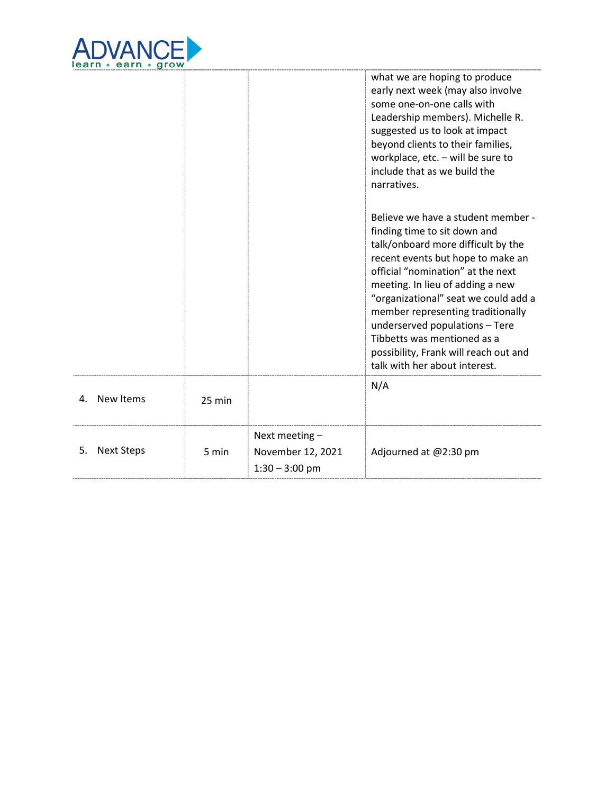

|                         |        |                                                           | what we are hoping to produce<br>early next week (may also involve<br>some one-on-one calls with<br>Leadership members). Michelle R.<br>suggested us to look at impact<br>beyond clients to their families,<br>workplace, etc. - will be sure to<br>include that as we build the<br>narratives.                                                                                                                                                |
|-------------------------|--------|-----------------------------------------------------------|------------------------------------------------------------------------------------------------------------------------------------------------------------------------------------------------------------------------------------------------------------------------------------------------------------------------------------------------------------------------------------------------------------------------------------------------|
|                         |        |                                                           | Believe we have a student member -<br>finding time to sit down and<br>talk/onboard more difficult by the<br>recent events but hope to make an<br>official "nomination" at the next<br>meeting. In lieu of adding a new<br>"organizational" seat we could add a<br>member representing traditionally<br>underserved populations - Tere<br>Tibbetts was mentioned as a<br>possibility, Frank will reach out and<br>talk with her about interest. |
| New Items<br>4.         | 25 min |                                                           | N/A                                                                                                                                                                                                                                                                                                                                                                                                                                            |
| <b>Next Steps</b><br>5. | 5 min  | Next meeting $-$<br>November 12, 2021<br>$1:30 - 3:00$ pm | Adjourned at @2:30 pm                                                                                                                                                                                                                                                                                                                                                                                                                          |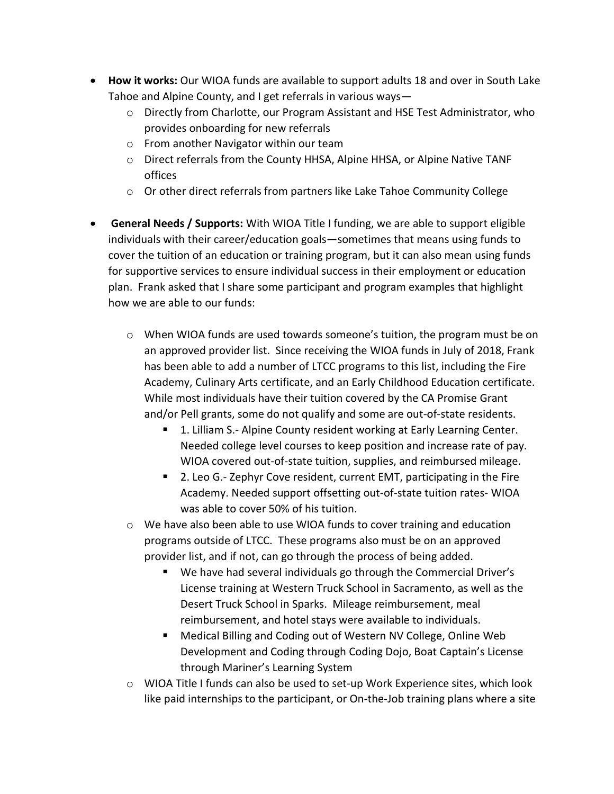- **How it works:** Our WIOA funds are available to support adults 18 and over in South Lake Tahoe and Alpine County, and I get referrals in various ways—
	- $\circ$  Directly from Charlotte, our Program Assistant and HSE Test Administrator, who provides onboarding for new referrals
	- o From another Navigator within our team
	- o Direct referrals from the County HHSA, Alpine HHSA, or Alpine Native TANF offices
	- $\circ$  Or other direct referrals from partners like Lake Tahoe Community College
- **General Needs / Supports:** With WIOA Title I funding, we are able to support eligible individuals with their career/education goals—sometimes that means using funds to cover the tuition of an education or training program, but it can also mean using funds for supportive services to ensure individual success in their employment or education plan. Frank asked that I share some participant and program examples that highlight how we are able to our funds:
	- o When WIOA funds are used towards someone's tuition, the program must be on an approved provider list. Since receiving the WIOA funds in July of 2018, Frank has been able to add a number of LTCC programs to this list, including the Fire Academy, Culinary Arts certificate, and an Early Childhood Education certificate. While most individuals have their tuition covered by the CA Promise Grant and/or Pell grants, some do not qualify and some are out-of-state residents.
		- **1. Lilliam S.- Alpine County resident working at Early Learning Center.** Needed college level courses to keep position and increase rate of pay. WIOA covered out-of-state tuition, supplies, and reimbursed mileage.
		- 2. Leo G.- Zephyr Cove resident, current EMT, participating in the Fire Academy. Needed support offsetting out-of-state tuition rates- WIOA was able to cover 50% of his tuition.
	- $\circ$  We have also been able to use WIOA funds to cover training and education programs outside of LTCC. These programs also must be on an approved provider list, and if not, can go through the process of being added.
		- We have had several individuals go through the Commercial Driver's License training at Western Truck School in Sacramento, as well as the Desert Truck School in Sparks. Mileage reimbursement, meal reimbursement, and hotel stays were available to individuals.
		- Medical Billing and Coding out of Western NV College, Online Web Development and Coding through Coding Dojo, Boat Captain's License through Mariner's Learning System
	- o WIOA Title I funds can also be used to set-up Work Experience sites, which look like paid internships to the participant, or On-the-Job training plans where a site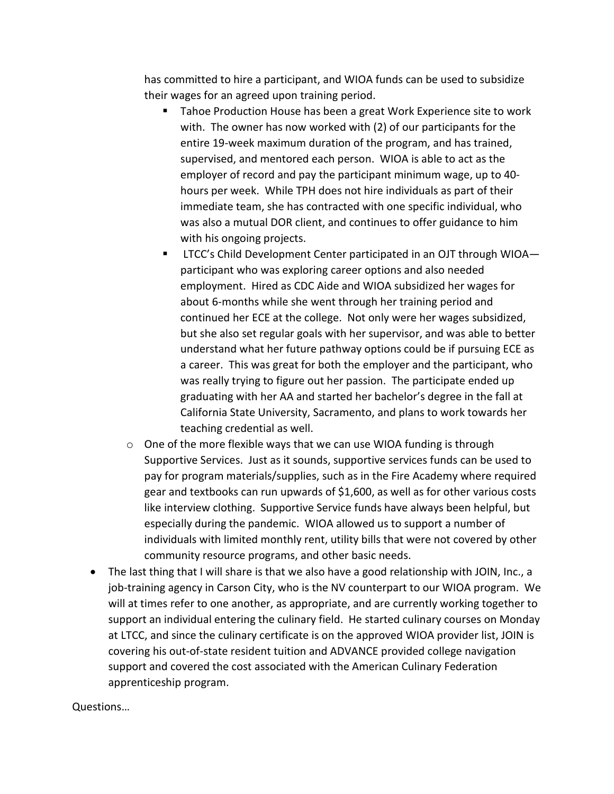has committed to hire a participant, and WIOA funds can be used to subsidize their wages for an agreed upon training period.

- Tahoe Production House has been a great Work Experience site to work with. The owner has now worked with (2) of our participants for the entire 19-week maximum duration of the program, and has trained, supervised, and mentored each person. WIOA is able to act as the employer of record and pay the participant minimum wage, up to 40 hours per week. While TPH does not hire individuals as part of their immediate team, she has contracted with one specific individual, who was also a mutual DOR client, and continues to offer guidance to him with his ongoing projects.
- LTCC's Child Development Center participated in an OJT through WIOA participant who was exploring career options and also needed employment. Hired as CDC Aide and WIOA subsidized her wages for about 6-months while she went through her training period and continued her ECE at the college. Not only were her wages subsidized, but she also set regular goals with her supervisor, and was able to better understand what her future pathway options could be if pursuing ECE as a career. This was great for both the employer and the participant, who was really trying to figure out her passion. The participate ended up graduating with her AA and started her bachelor's degree in the fall at California State University, Sacramento, and plans to work towards her teaching credential as well.
- $\circ$  One of the more flexible ways that we can use WIOA funding is through Supportive Services. Just as it sounds, supportive services funds can be used to pay for program materials/supplies, such as in the Fire Academy where required gear and textbooks can run upwards of \$1,600, as well as for other various costs like interview clothing. Supportive Service funds have always been helpful, but especially during the pandemic. WIOA allowed us to support a number of individuals with limited monthly rent, utility bills that were not covered by other community resource programs, and other basic needs.
- The last thing that I will share is that we also have a good relationship with JOIN, Inc., a job-training agency in Carson City, who is the NV counterpart to our WIOA program. We will at times refer to one another, as appropriate, and are currently working together to support an individual entering the culinary field. He started culinary courses on Monday at LTCC, and since the culinary certificate is on the approved WIOA provider list, JOIN is covering his out-of-state resident tuition and ADVANCE provided college navigation support and covered the cost associated with the American Culinary Federation apprenticeship program.

Questions…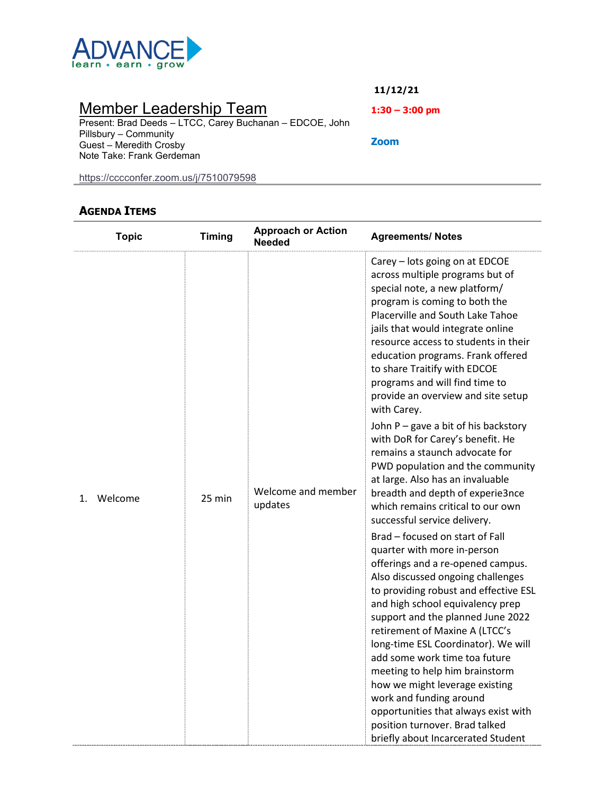

## Member Leadership Team

Present: Brad Deeds – LTCC, Carey Buchanan – EDCOE, John Pillsbury – Community Guest – Meredith Crosby Note Take: Frank Gerdeman

<https://cccconfer.zoom.us/j/7510079598>

### **AGENDA ITEMS**

| <b>Topic</b>  | <b>Timing</b> | <b>Approach or Action</b><br><b>Needed</b> | <b>Agreements/ Notes</b>                                                                                                                                                                                                                                                                                                                                                                                                                                                                                                                                                                                                                                                                                                                                                                                                                                                                                                                                                                                                                                                                                                                                                                                                                                                                               |
|---------------|---------------|--------------------------------------------|--------------------------------------------------------------------------------------------------------------------------------------------------------------------------------------------------------------------------------------------------------------------------------------------------------------------------------------------------------------------------------------------------------------------------------------------------------------------------------------------------------------------------------------------------------------------------------------------------------------------------------------------------------------------------------------------------------------------------------------------------------------------------------------------------------------------------------------------------------------------------------------------------------------------------------------------------------------------------------------------------------------------------------------------------------------------------------------------------------------------------------------------------------------------------------------------------------------------------------------------------------------------------------------------------------|
| Welcome<br>1. | 25 min        | Welcome and member<br>updates              | Carey - lots going on at EDCOE<br>across multiple programs but of<br>special note, a new platform/<br>program is coming to both the<br>Placerville and South Lake Tahoe<br>jails that would integrate online<br>resource access to students in their<br>education programs. Frank offered<br>to share Traitify with EDCOE<br>programs and will find time to<br>provide an overview and site setup<br>with Carey.<br>John P - gave a bit of his backstory<br>with DoR for Carey's benefit. He<br>remains a staunch advocate for<br>PWD population and the community<br>at large. Also has an invaluable<br>breadth and depth of experie3nce<br>which remains critical to our own<br>successful service delivery.<br>Brad - focused on start of Fall<br>quarter with more in-person<br>offerings and a re-opened campus.<br>Also discussed ongoing challenges<br>to providing robust and effective ESL<br>and high school equivalency prep<br>support and the planned June 2022<br>retirement of Maxine A (LTCC's<br>long-time ESL Coordinator). We will<br>add some work time toa future<br>meeting to help him brainstorm<br>how we might leverage existing<br>work and funding around<br>opportunities that always exist with<br>position turnover. Brad talked<br>briefly about Incarcerated Student |

**11/12/21**

**1:30 – 3:00 pm**

**Zoom**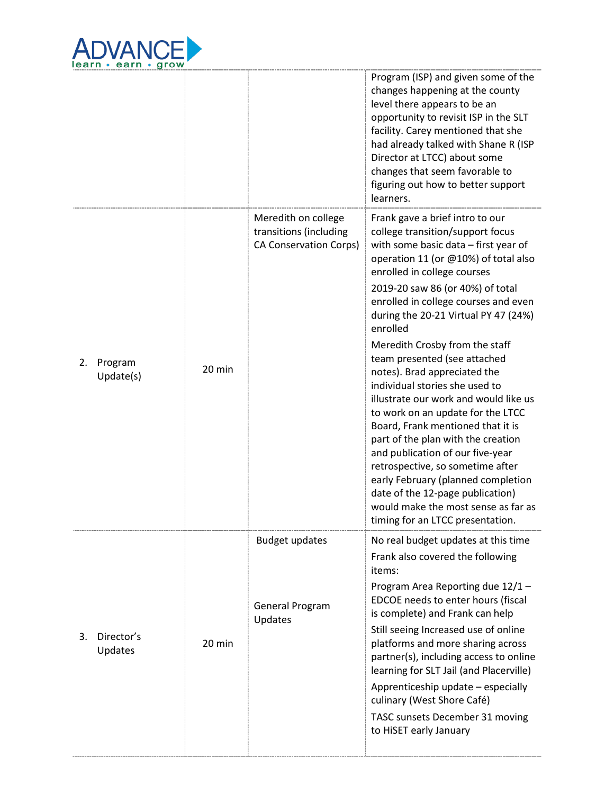

|    |                      |        |                                                                                | Program (ISP) and given some of the<br>changes happening at the county<br>level there appears to be an<br>opportunity to revisit ISP in the SLT<br>facility. Carey mentioned that she<br>had already talked with Shane R (ISP<br>Director at LTCC) about some<br>changes that seem favorable to<br>figuring out how to better support<br>learners.                                                                                                                                   |
|----|----------------------|--------|--------------------------------------------------------------------------------|--------------------------------------------------------------------------------------------------------------------------------------------------------------------------------------------------------------------------------------------------------------------------------------------------------------------------------------------------------------------------------------------------------------------------------------------------------------------------------------|
|    |                      |        | Meredith on college<br>transitions (including<br><b>CA Conservation Corps)</b> | Frank gave a brief intro to our<br>college transition/support focus<br>with some basic data - first year of<br>operation 11 (or @10%) of total also<br>enrolled in college courses<br>2019-20 saw 86 (or 40%) of total<br>enrolled in college courses and even<br>during the 20-21 Virtual PY 47 (24%)<br>enrolled<br>Meredith Crosby from the staff                                                                                                                                 |
| 2. | Program<br>Update(s) | 20 min |                                                                                | team presented (see attached<br>notes). Brad appreciated the<br>individual stories she used to<br>illustrate our work and would like us<br>to work on an update for the LTCC<br>Board, Frank mentioned that it is<br>part of the plan with the creation<br>and publication of our five-year<br>retrospective, so sometime after<br>early February (planned completion<br>date of the 12-page publication)<br>would make the most sense as far as<br>timing for an LTCC presentation. |
| 3. | Director's           | 20 min | <b>Budget updates</b><br>General Program<br>Updates                            | No real budget updates at this time<br>Frank also covered the following<br>items:<br>Program Area Reporting due 12/1 -<br>EDCOE needs to enter hours (fiscal<br>is complete) and Frank can help<br>Still seeing Increased use of online<br>platforms and more sharing across                                                                                                                                                                                                         |
|    | Updates              |        |                                                                                | partner(s), including access to online<br>learning for SLT Jail (and Placerville)<br>Apprenticeship update - especially<br>culinary (West Shore Café)<br>TASC sunsets December 31 moving<br>to HiSET early January                                                                                                                                                                                                                                                                   |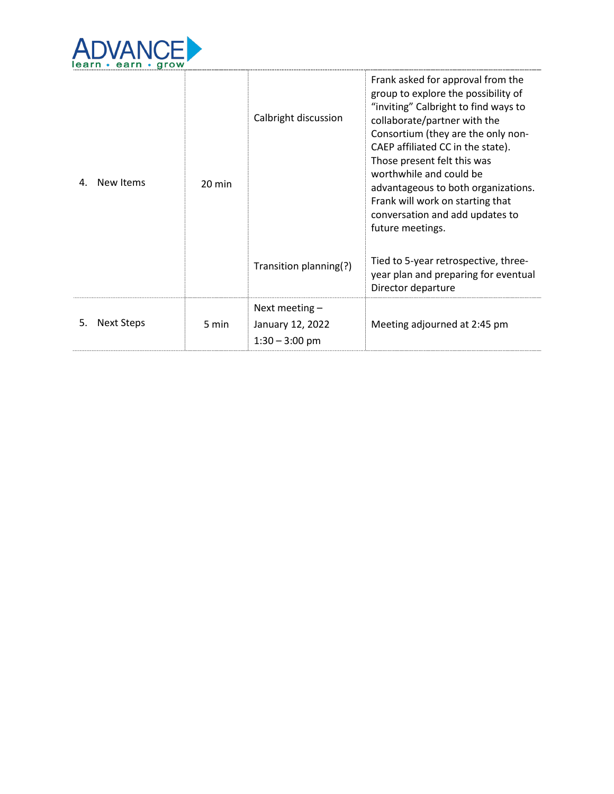

| 4. | New Items  | 20 min | Calbright discussion<br>Transition planning(?)           | Frank asked for approval from the<br>group to explore the possibility of<br>"inviting" Calbright to find ways to<br>collaborate/partner with the<br>Consortium (they are the only non-<br>CAEP affiliated CC in the state).<br>Those present felt this was<br>worthwhile and could be<br>advantageous to both organizations.<br>Frank will work on starting that<br>conversation and add updates to<br>future meetings.<br>Tied to 5-year retrospective, three-<br>year plan and preparing for eventual |
|----|------------|--------|----------------------------------------------------------|---------------------------------------------------------------------------------------------------------------------------------------------------------------------------------------------------------------------------------------------------------------------------------------------------------------------------------------------------------------------------------------------------------------------------------------------------------------------------------------------------------|
|    |            |        |                                                          | Director departure                                                                                                                                                                                                                                                                                                                                                                                                                                                                                      |
| 5. | Next Steps | 5 min  | Next meeting $-$<br>January 12, 2022<br>$1:30 - 3:00$ pm | Meeting adjourned at 2:45 pm                                                                                                                                                                                                                                                                                                                                                                                                                                                                            |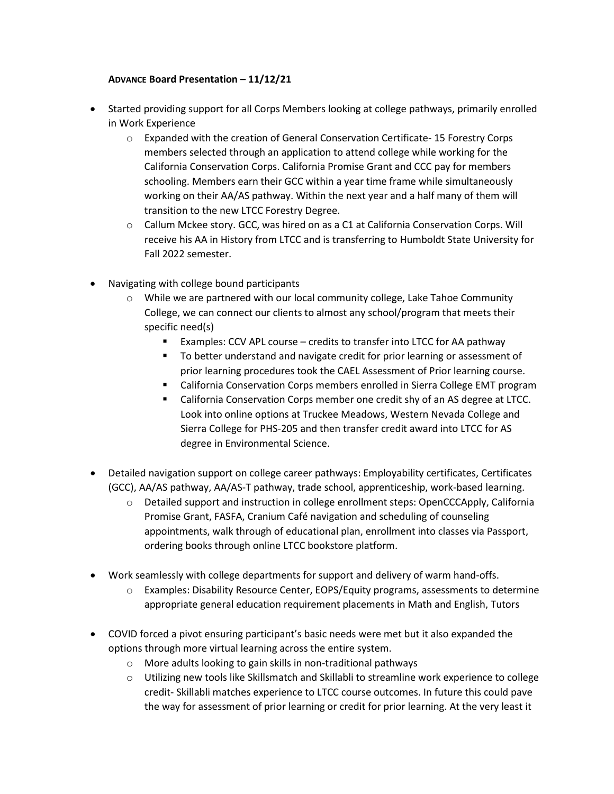#### **ADVANCE Board Presentation – 11/12/21**

- Started providing support for all Corps Members looking at college pathways, primarily enrolled in Work Experience
	- $\circ$  Expanded with the creation of General Conservation Certificate-15 Forestry Corps members selected through an application to attend college while working for the California Conservation Corps. California Promise Grant and CCC pay for members schooling. Members earn their GCC within a year time frame while simultaneously working on their AA/AS pathway. Within the next year and a half many of them will transition to the new LTCC Forestry Degree.
	- o Callum Mckee story. GCC, was hired on as a C1 at California Conservation Corps. Will receive his AA in History from LTCC and is transferring to Humboldt State University for Fall 2022 semester.
- Navigating with college bound participants
	- o While we are partnered with our local community college, Lake Tahoe Community College, we can connect our clients to almost any school/program that meets their specific need(s)
		- Examples: CCV APL course credits to transfer into LTCC for AA pathway
		- To better understand and navigate credit for prior learning or assessment of prior learning procedures took the CAEL Assessment of Prior learning course.
		- California Conservation Corps members enrolled in Sierra College EMT program
		- California Conservation Corps member one credit shy of an AS degree at LTCC. Look into online options at Truckee Meadows, Western Nevada College and Sierra College for PHS-205 and then transfer credit award into LTCC for AS degree in Environmental Science.
- Detailed navigation support on college career pathways: Employability certificates, Certificates (GCC), AA/AS pathway, AA/AS-T pathway, trade school, apprenticeship, work-based learning.
	- o Detailed support and instruction in college enrollment steps: OpenCCCApply, California Promise Grant, FASFA, Cranium Café navigation and scheduling of counseling appointments, walk through of educational plan, enrollment into classes via Passport, ordering books through online LTCC bookstore platform.
- Work seamlessly with college departments for support and delivery of warm hand-offs.
	- o Examples: Disability Resource Center, EOPS/Equity programs, assessments to determine appropriate general education requirement placements in Math and English, Tutors
- COVID forced a pivot ensuring participant's basic needs were met but it also expanded the options through more virtual learning across the entire system.
	- o More adults looking to gain skills in non-traditional pathways
	- o Utilizing new tools like Skillsmatch and Skillabli to streamline work experience to college credit- Skillabli matches experience to LTCC course outcomes. In future this could pave the way for assessment of prior learning or credit for prior learning. At the very least it